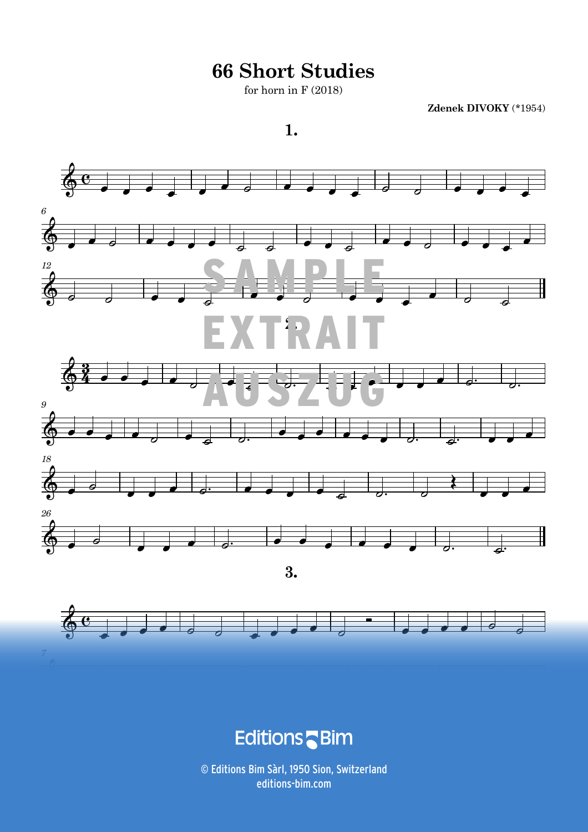**66 Short Studies**

for horn in  $F(2018)$ 

**Zdenek DIVOKY** (\*1954)







and the Control B <u> 1989 - Andre Stadt British Barbara (1989), a chwaraeth a chwaraeth a chwaraeth a chwaraeth a chwaraeth a chw</u>

 $\odot$  Editions Bim Sàrl, 1950 Sion, Switzerland ALL RIGHTS RESERVED - TOUS DROITS RÉSERVÉS - ALLE RECHTE VORBEHALTEN CO114 3 editions-bim.com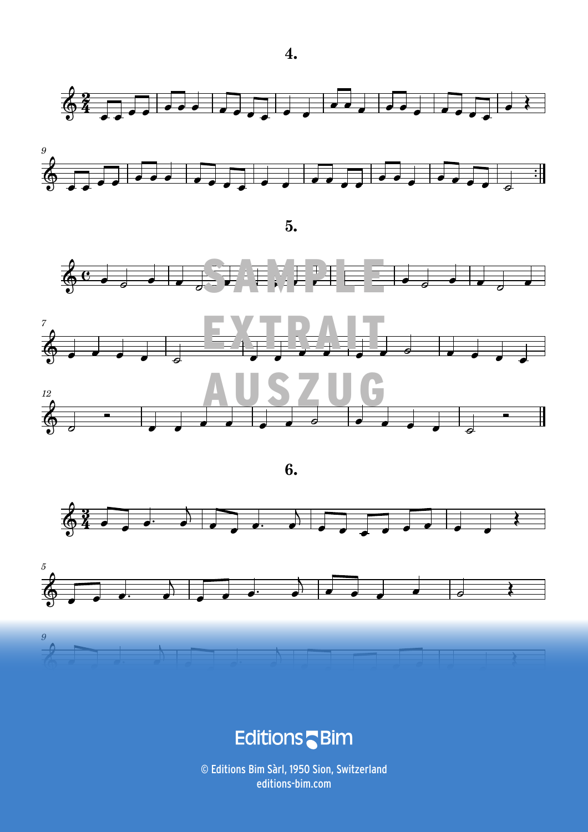





**6.** 







### **Experiment Constitution Constitution Constitution Constitution Constitution Constitution Constitution Constitu**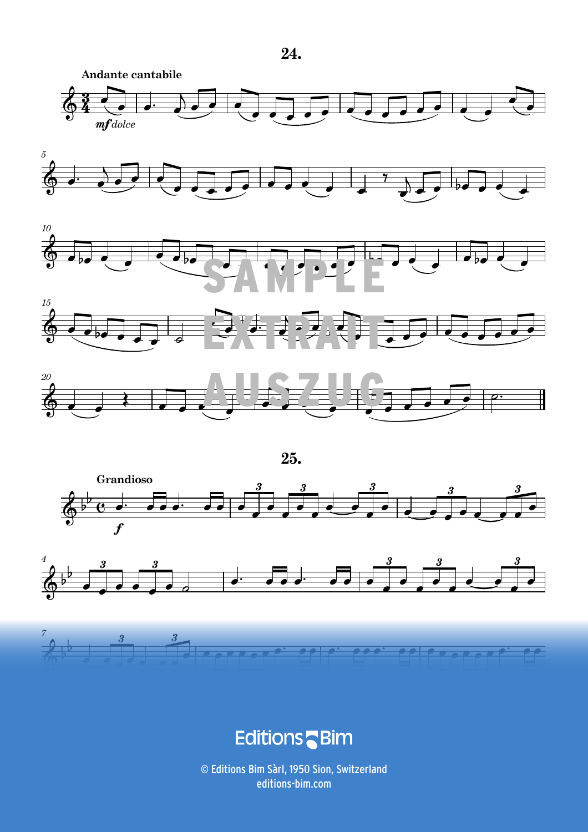









**25.** 







e de la componencia de la componencia de la componencia de la componencia de la componencia de la componencia<br>En 1990, estableceu de la componencia de la componencia de la componencia de la componencia de la componencia  $\frac{1}{2}$  and  $\frac{1}{2}$  and  $\frac{1}{2}$  and  $\frac{1}{2}$  and  $\frac{1}{2}$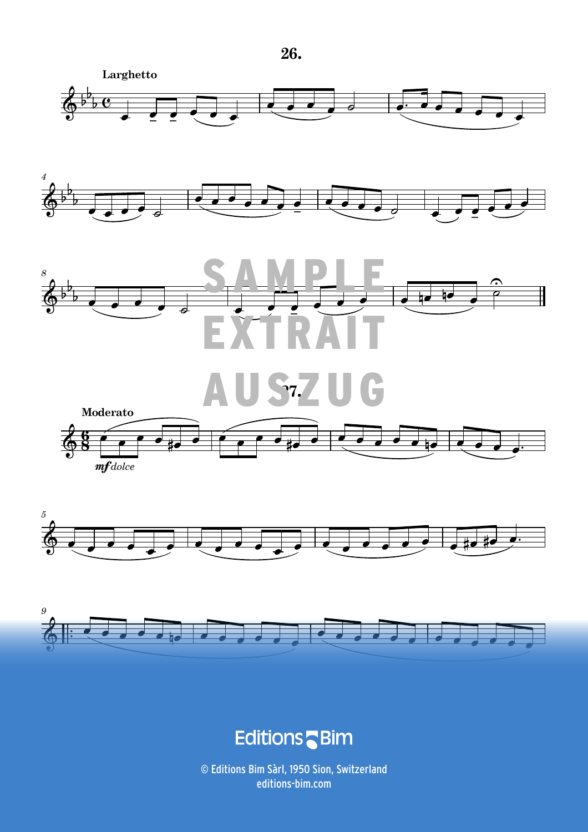







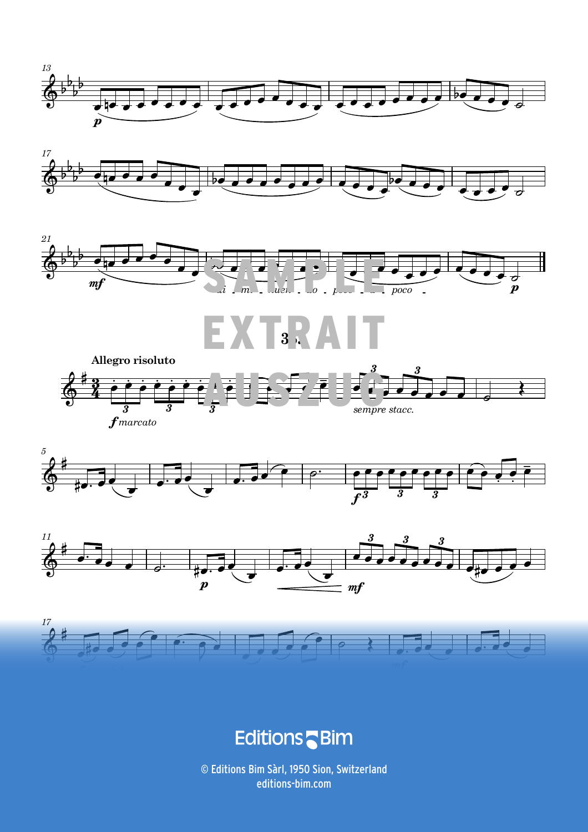















### **Editions** Bim

 © Editions Bim Sàrl, 1950 Sion, Switzerland *Unauthorized duplication is illegal. © Editions Bim - Z. Divoky, 66 Short Studies for horn* 19 editions-bim.com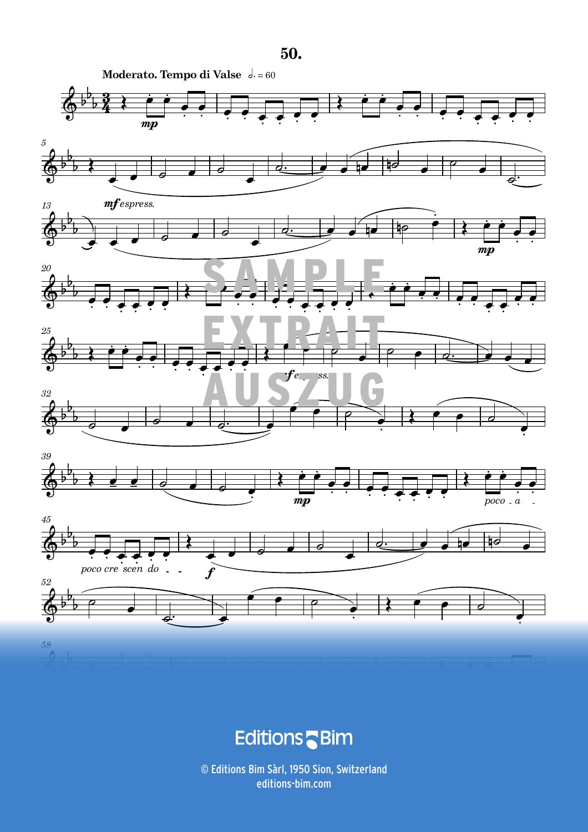

#### a d <u> 1989 - January Communication Communication (1989)</u><br>1989 - Carl Maria Barbara, actriz est anno 1989 - Carl Maria Barbara, actriz est anno 1989.<br>1989 - Carl Maria Barbara, actriz est anno 1989 - Carl Maria Barbara, actriz  $\frac{1}{2}$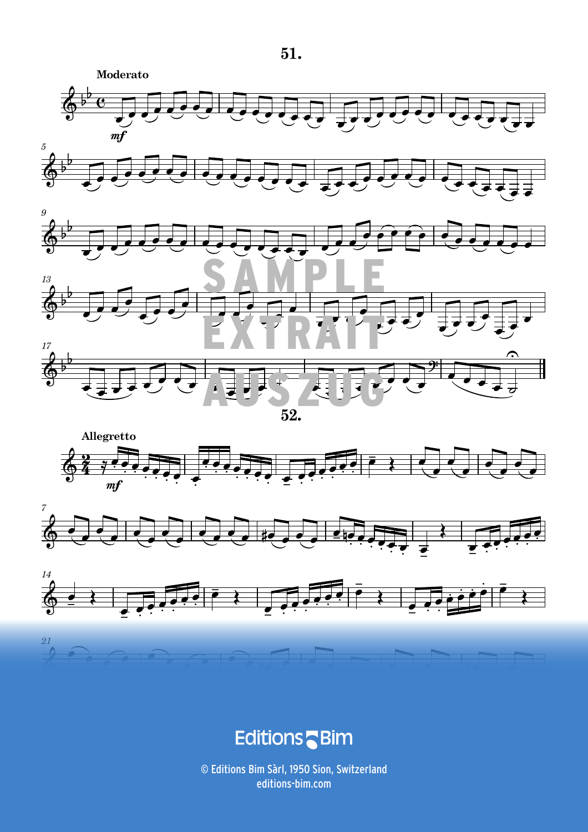









#### **E**ditions **Contract Contract Contract Contract Contract Contract Contract Contract Contract Contract Contract Contract Co** <u> 1989 - Andre Stein, Amerikaansk filosof († 1989)</u><br>1905 - Johann Britter, Amerikaansk filosof († 1908)<br>1906 - Amerikaans Frankryk, Amerikaansk filosof († 1908)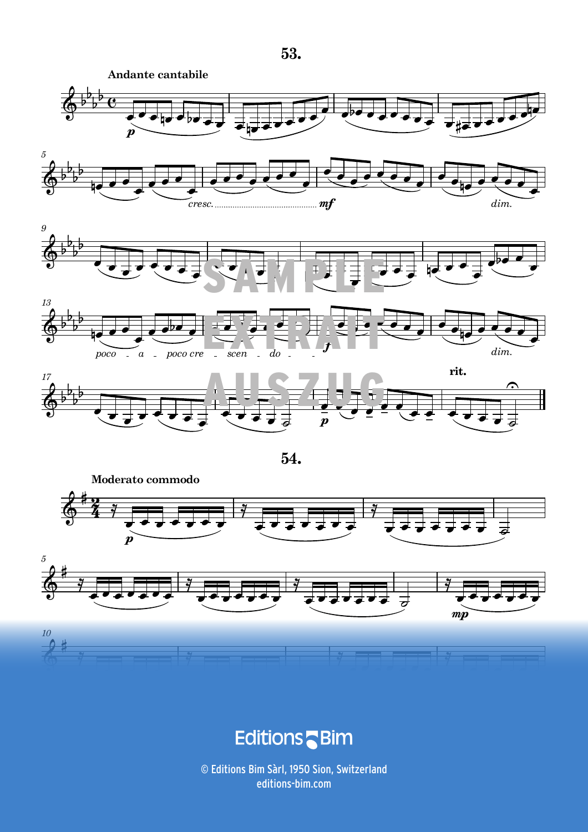







.<br>F  $rac{1}{\sqrt{2}}$ m ta a shekarar

 © Editions Bim Sàrl, 1950 Sion, Switzerland 28 *Unauthorized duplication is illegal. © Editions Bim - Z. Divoky, 66 Short Studies for horn* editions-bim.com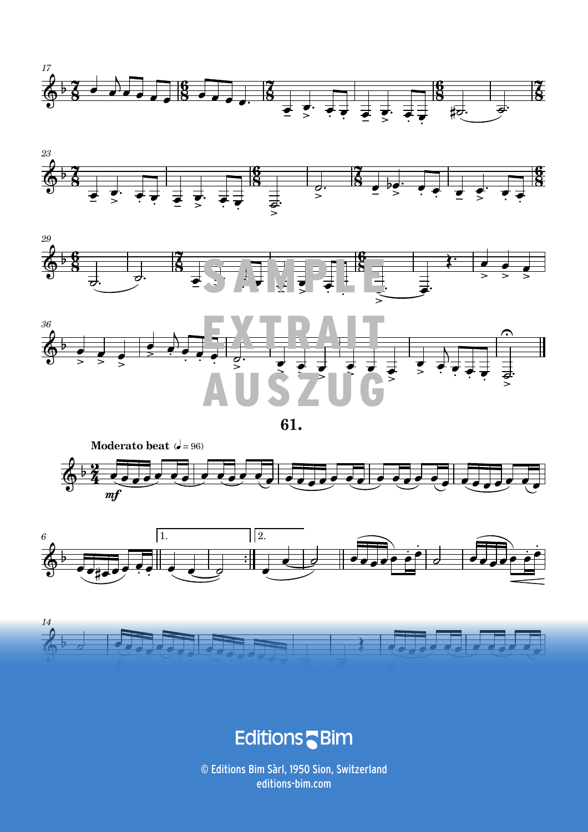











a sa sa salawan na <mark>E</mark> <u> 1989 - January Company, american american and company and company and company and company and company and com</u><br>1990 - January Company, american and company and company and company and company and company and company and  $\mathbf{a} = \mathbf{a} \cdot \mathbf{a}$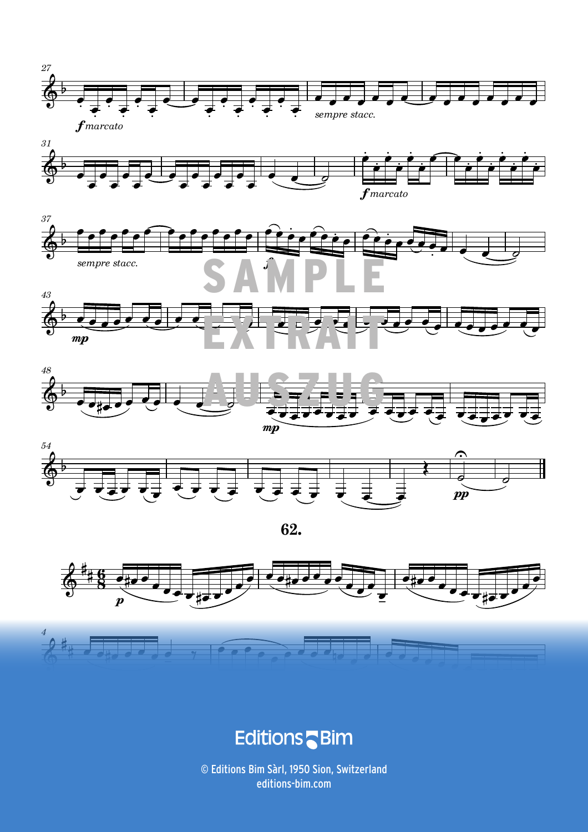















# ा स्वीकृत का अनुसार को स्थापि**ट के साथ प्रतिक्रिया है। इस प्रतिक्रिया के साथ प्रतिक्रिया के साथ प्रतिक्रिया**<br>अन्वयः स्वीकृति के साथ प्रतिक्रिया के साथ प्रतिक्रिया के साथ प्रतिक्रिया के साथ प्रतिक्रिया के साथ प्रतिक्रिया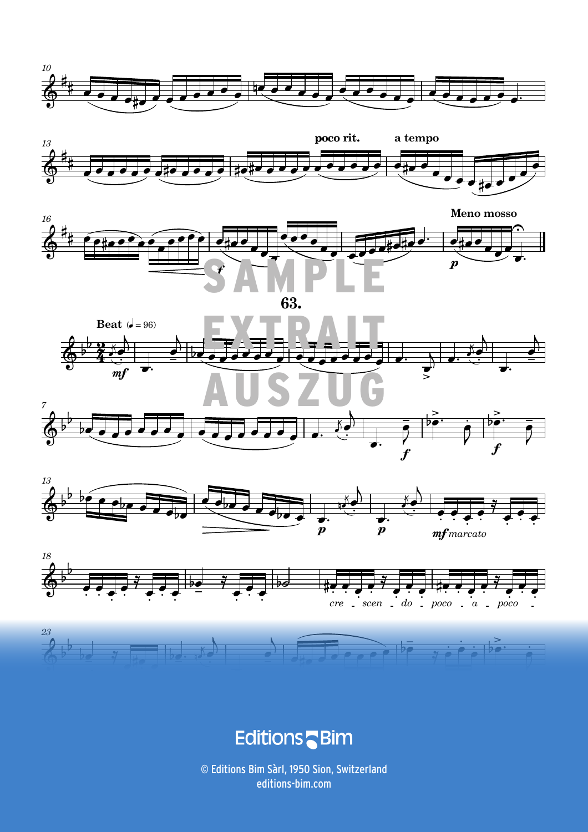